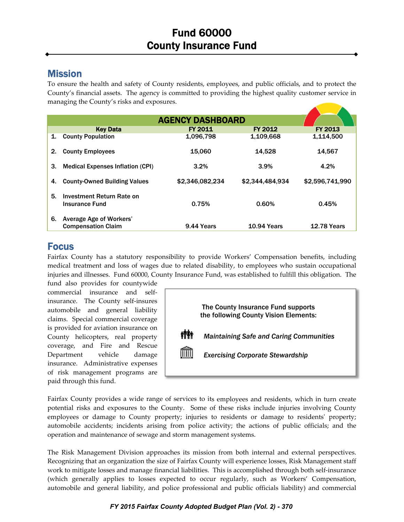## Mission

To ensure the health and safety of County residents, employees, and public officials, and to protect the County's financial assets. The agency is committed to providing the highest quality customer service in managing the County's risks and exposures.

|    |                                                      | <b>AGENCY DASHBOARD</b> |                    |                    |
|----|------------------------------------------------------|-------------------------|--------------------|--------------------|
|    |                                                      |                         |                    |                    |
|    | <b>Key Data</b>                                      | <b>FY 2011</b>          | FY 2012            | <b>FY 2013</b>     |
| 1. | <b>County Population</b>                             | 1,096,798               | 1,109,668          | 1,114,500          |
| 2. | <b>County Employees</b>                              | 15,060                  | 14,528             | 14,567             |
| 3. | <b>Medical Expenses Inflation (CPI)</b>              | 3.2%                    | 3.9%               | 4.2%               |
| 4. | <b>County-Owned Building Values</b>                  | \$2,346,082,234         | \$2,344,484,934    | \$2,596,741,990    |
| 5. | Investment Return Rate on<br>Insurance Fund          | 0.75%                   | 0.60%              | 0.45%              |
| 6. | Average Age of Workers'<br><b>Compensation Claim</b> | 9.44 Years              | <b>10.94 Years</b> | <b>12.78 Years</b> |

## Focus

Fairfax County has a statutory responsibility to provide Workers' Compensation benefits, including medical treatment and loss of wages due to related disability, to employees who sustain occupational injuries and illnesses. Fund 60000, County Insurance Fund, was established to fulfill this obligation. The

fund also provides for countywide commercial insurance and self‐ insurance. The County self-insures automobile and general liability claims. Special commercial coverage is provided for aviation insurance on County helicopters, real property coverage, and Fire and Rescue Department vehicle damage insurance. Administrative expenses of risk management programs are paid through this fund.



Fairfax County provides a wide range of services to its employees and residents, which in turn create potential risks and exposures to the County. Some of these risks include injuries involving County employees or damage to County property; injuries to residents or damage to residents' property; automobile accidents; incidents arising from police activity; the actions of public officials; and the operation and maintenance of sewage and storm management systems.

The Risk Management Division approaches its mission from both internal and external perspectives. Recognizing that an organization the size of Fairfax County will experience losses, Risk Management staff work to mitigate losses and manage financial liabilities. This is accomplished through both self-insurance (which generally applies to losses expected to occur regularly, such as Workers' Compensation, automobile and general liability, and police professional and public officials liability) and commercial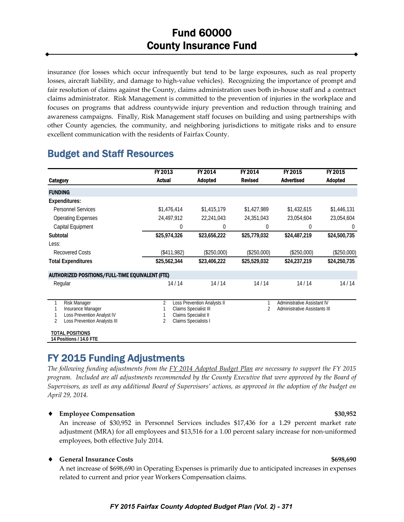insurance (for losses which occur infrequently but tend to be large exposures, such as real property losses, aircraft liability, and damage to high-value vehicles). Recognizing the importance of prompt and fair resolution of claims against the County, claims administration uses both in‐house staff and a contract claims administrator. Risk Management is committed to the prevention of injuries in the workplace and focuses on programs that address countywide injury prevention and reduction through training and awareness campaigns. Finally, Risk Management staff focuses on building and using partnerships with other County agencies, the community, and neighboring jurisdictions to mitigate risks and to ensure excellent communication with the residents of Fairfax County.

## Budget and Staff Resources

|                                                                                                                             | FY 2013                                                                                                                               | FY 2014        | FY 2014        | FY 2015                                                                    | FY 2015        |
|-----------------------------------------------------------------------------------------------------------------------------|---------------------------------------------------------------------------------------------------------------------------------------|----------------|----------------|----------------------------------------------------------------------------|----------------|
| Category                                                                                                                    | <b>Actual</b>                                                                                                                         | <b>Adopted</b> | <b>Revised</b> | <b>Advertised</b>                                                          | <b>Adopted</b> |
| <b>FUNDING</b>                                                                                                              |                                                                                                                                       |                |                |                                                                            |                |
| Expenditures:                                                                                                               |                                                                                                                                       |                |                |                                                                            |                |
| <b>Personnel Services</b>                                                                                                   | \$1,476,414                                                                                                                           | \$1,415,179    | \$1,427,989    | \$1,432,615                                                                | \$1,446,131    |
| <b>Operating Expenses</b>                                                                                                   | 24,497,912                                                                                                                            | 22,241,043     | 24,351,043     | 23,054,604                                                                 | 23,054,604     |
| Capital Equipment                                                                                                           | 0                                                                                                                                     | 0              | 0              | 0                                                                          | $\theta$       |
| Subtotal                                                                                                                    | \$25,974,326                                                                                                                          | \$23,656,222   | \$25,779,032   | \$24,487,219                                                               | \$24,500,735   |
| Less:                                                                                                                       |                                                                                                                                       |                |                |                                                                            |                |
| <b>Recovered Costs</b>                                                                                                      | (\$411,982)                                                                                                                           | (\$250,000)    | (\$250,000)    | (\$250,000)                                                                | (\$250,000)    |
| <b>Total Expenditures</b>                                                                                                   | \$25,562,344                                                                                                                          | \$23,406,222   | \$25,529,032   | \$24,237,219                                                               | \$24,250,735   |
| <b>AUTHORIZED POSITIONS/FULL-TIME EQUIVALENT (FTE)</b>                                                                      |                                                                                                                                       |                |                |                                                                            |                |
| Regular                                                                                                                     | 14/14                                                                                                                                 | 14/14          | 14/14          | 14/14                                                                      | 14/14          |
| Risk Manager<br>Insurance Manager<br>Loss Prevention Analyst IV<br>$\overline{\mathcal{L}}$<br>Loss Prevention Analysts III | 2<br>Loss Prevention Analysts II<br>Claims Specialist III<br>Claims Specialist II<br>$\overline{\mathcal{L}}$<br>Claims Specialists I |                | $\overline{2}$ | <b>Administrative Assistant IV</b><br><b>Administrative Assistants III</b> |                |
| <b>TOTAL POSITIONS</b><br>14 Positions / 14.0 FTE                                                                           |                                                                                                                                       |                |                |                                                                            |                |

# FY 2015 Funding Adjustments

The following funding adjustments from the  $\frac{FY}{2014}$  Adopted Budget Plan are necessary to support the FY 2015 program. Included are all adjustments recommended by the County Executive that were approved by the Board of Supervisors, as well as any additional Board of Supervisors' actions, as approved in the adoption of the budget on *April 29, 2014.*

### **Employee Compensation \$30,952**

An increase of \$30,952 in Personnel Services includes \$17,436 for a 1.29 percent market rate adjustment (MRA) for all employees and \$13,516 for a 1.00 percent salary increase for non‐uniformed employees, both effective July 2014.

### **General Insurance Costs \$698,690**

A net increase of \$698,690 in Operating Expenses is primarily due to anticipated increases in expenses related to current and prior year Workers Compensation claims.

### *FY 2015 Fairfax County Adopted Budget Plan (Vol. 2) - 371*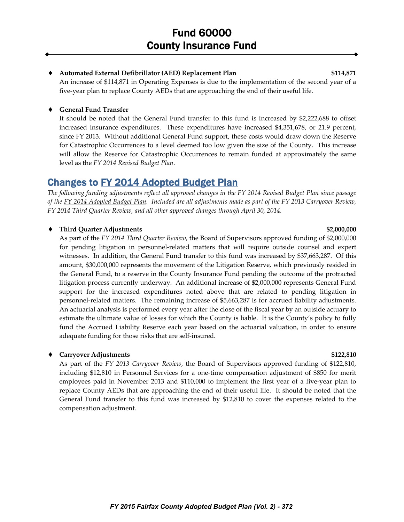#### **Automated External Defibrillator (AED) Replacement Plan \$114,871**

An increase of \$114,871 in Operating Expenses is due to the implementation of the second year of a five‐year plan to replace County AEDs that are approaching the end of their useful life.

#### **General Fund Transfer**

It should be noted that the General Fund transfer to this fund is increased by \$2,222,688 to offset increased insurance expenditures. These expenditures have increased \$4,351,678, or 21.9 percent, since FY 2013. Without additional General Fund support, these costs would draw down the Reserve for Catastrophic Occurrences to a level deemed too low given the size of the County. This increase will allow the Reserve for Catastrophic Occurrences to remain funded at approximately the same level as the *FY 2014 Revised Budget Plan*.

## Changes to FY 2014 Adopted Budget Plan

The following funding adjustments reflect all approved changes in the FY 2014 Revised Budget Plan since passage of the FY 2014 Adopted Budget Plan. Included are all adjustments made as part of the FY 2013 Carryover Review, *FY 2014 Third Quarter Review, and all other approved changes through April 30, 2014.*

#### **Third Quarter Adjustments \$2,000,000**

### As part of the *FY 2014 Third Quarter Review*, the Board of Supervisors approved funding of \$2,000,000 for pending litigation in personnel‐related matters that will require outside counsel and expert witnesses. In addition, the General Fund transfer to this fund was increased by \$37,663,287. Of this amount, \$30,000,000 represents the movement of the Litigation Reserve, which previously resided in the General Fund, to a reserve in the County Insurance Fund pending the outcome of the protracted litigation process currently underway. An additional increase of \$2,000,000 represents General Fund support for the increased expenditures noted above that are related to pending litigation in personnel-related matters. The remaining increase of \$5,663,287 is for accrued liability adjustments. An actuarial analysis is performed every year after the close of the fiscal year by an outside actuary to estimate the ultimate value of losses for which the County is liable. It is the County's policy to fully fund the Accrued Liability Reserve each year based on the actuarial valuation, in order to ensure adequate funding for those risks that are self‐insured.

#### **Carryover Adjustments \$122,810**

As part of the *FY 2013 Carryover Review*, the Board of Supervisors approved funding of \$122,810, including \$12,810 in Personnel Services for a one‐time compensation adjustment of \$850 for merit employees paid in November 2013 and \$110,000 to implement the first year of a five-year plan to replace County AEDs that are approaching the end of their useful life. It should be noted that the General Fund transfer to this fund was increased by \$12,810 to cover the expenses related to the compensation adjustment.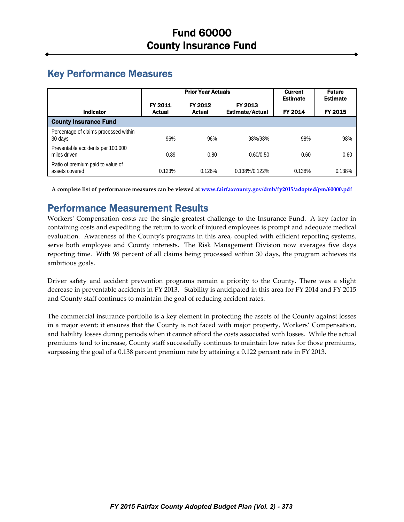# Key Performance Measures

|                                                     | <b>Prior Year Actuals</b> |                          |                                   | <b>Current</b><br><b>Estimate</b> | <b>Future</b><br><b>Estimate</b> |
|-----------------------------------------------------|---------------------------|--------------------------|-----------------------------------|-----------------------------------|----------------------------------|
| <b>Indicator</b>                                    | FY 2011<br><b>Actual</b>  | FY 2012<br><b>Actual</b> | FY 2013<br><b>Estimate/Actual</b> | FY 2014                           | FY 2015                          |
| <b>County Insurance Fund</b>                        |                           |                          |                                   |                                   |                                  |
| Percentage of claims processed within<br>30 days    | 96%                       | 96%                      | 98%/98%                           | 98%                               | 98%                              |
| Preventable accidents per 100,000<br>miles driven   | 0.89                      | 0.80                     | 0.60/0.50                         | 0.60                              | 0.60                             |
| Ratio of premium paid to value of<br>assets covered | 0.123%                    | 0.126%                   | 0.138%/0.122%                     | 0.138%                            | 0.138%                           |

**A complete list of performance measures can be viewed at www.fairfaxcounty.gov/dmb/fy2015/adopted/pm/60000.pdf**

## Performance Measurement Results

Workers' Compensation costs are the single greatest challenge to the Insurance Fund. A key factor in containing costs and expediting the return to work of injured employees is prompt and adequate medical evaluation. Awareness of the County's programs in this area, coupled with efficient reporting systems, serve both employee and County interests. The Risk Management Division now averages five days reporting time. With 98 percent of all claims being processed within 30 days, the program achieves its ambitious goals.

Driver safety and accident prevention programs remain a priority to the County. There was a slight decrease in preventable accidents in FY 2013. Stability is anticipated in this area for FY 2014 and FY 2015 and County staff continues to maintain the goal of reducing accident rates.

The commercial insurance portfolio is a key element in protecting the assets of the County against losses in a major event; it ensures that the County is not faced with major property, Workers' Compensation, and liability losses during periods when it cannot afford the costs associated with losses. While the actual premiums tend to increase, County staff successfully continues to maintain low rates for those premiums, surpassing the goal of a 0.138 percent premium rate by attaining a 0.122 percent rate in FY 2013.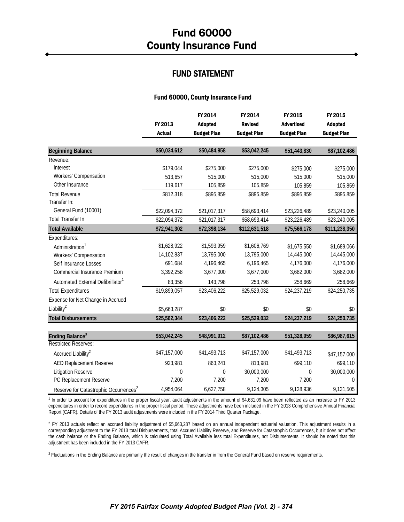### FUND STATEMENT

#### Fund 60000, County Insurance Fund

|                                                   |                      | FY 2014              | FY 2014              | FY 2015            | FY 2015              |
|---------------------------------------------------|----------------------|----------------------|----------------------|--------------------|----------------------|
|                                                   | FY 2013              | <b>Adopted</b>       | <b>Revised</b>       | <b>Advertised</b>  | Adopted              |
|                                                   | <b>Actual</b>        | <b>Budget Plan</b>   | <b>Budget Plan</b>   | <b>Budget Plan</b> | <b>Budget Plan</b>   |
|                                                   | \$50,034,612         | \$50,484,958         | \$53,042,245         |                    |                      |
| <b>Beginning Balance</b>                          |                      |                      |                      | \$51,443,830       | \$87,102,486         |
| Revenue:<br>Interest                              |                      |                      |                      |                    |                      |
| Workers' Compensation                             | \$179,044<br>513,657 | \$275,000<br>515,000 | \$275,000<br>515,000 | \$275,000          | \$275,000            |
| Other Insurance                                   | 119,617              | 105,859              |                      | 515,000            | 515,000              |
| <b>Total Revenue</b>                              | \$812,318            | \$895,859            | 105,859<br>\$895,859 | 105,859            | 105,859<br>\$895,859 |
| Transfer In:                                      |                      |                      |                      | \$895,859          |                      |
| General Fund (10001)                              | \$22,094,372         | \$21,017,317         | \$58,693,414         | \$23,226,489       | \$23,240,005         |
| <b>Total Transfer In</b>                          | \$22,094,372         | \$21,017,317         | \$58,693,414         | \$23,226,489       | \$23,240,005         |
| <b>Total Available</b>                            | \$72,941,302         | \$72,398,134         | \$112,631,518        | \$75,566,178       | \$111,238,350        |
| Expenditures:                                     |                      |                      |                      |                    |                      |
| Administration <sup>1</sup>                       | \$1,628,922          | \$1,593,959          | \$1,606,769          | \$1,675,550        | \$1,689,066          |
| Workers' Compensation                             | 14,102,837           | 13,795,000           | 13,795,000           | 14,445,000         | 14,445,000           |
| Self Insurance Losses                             | 691,684              | 4,196,465            | 6,196,465            | 4,176,000          | 4,176,000            |
| Commercial Insurance Premium                      | 3,392,258            | 3,677,000            | 3,677,000            | 3,682,000          | 3,682,000            |
| Automated External Defibrillator <sup>1</sup>     | 83,356               | 143,798              | 253,798              | 258,669            | 258,669              |
| <b>Total Expenditures</b>                         | \$19,899,057         | \$23,406,222         | \$25,529,032         | \$24,237,219       | \$24,250,735         |
| Expense for Net Change in Accrued                 |                      |                      |                      |                    |                      |
| Liability $^2$                                    | \$5,663,287          | \$0                  | \$0                  | \$0                | \$0                  |
| <b>Total Disbursements</b>                        | \$25,562,344         | \$23,406,222         | \$25,529,032         | \$24,237,219       | \$24,250,735         |
|                                                   |                      |                      |                      |                    |                      |
| Ending Balance <sup>3</sup>                       | \$53,042,245         | \$48,991,912         | \$87,102,486         | \$51,328,959       | \$86,987,615         |
| <b>Restricted Reserves:</b>                       |                      |                      |                      |                    |                      |
| Accrued Liability <sup>2</sup>                    | \$47,157,000         | \$41,493,713         | \$47,157,000         | \$41,493,713       | \$47,157,000         |
| <b>AED Replacement Reserve</b>                    | 923,981              | 863,241              | 813,981              | 699,110            | 699,110              |
| <b>Litigation Reserve</b>                         | $\mathbf{0}$         | $\mathbf 0$          | 30,000,000           | 0                  | 30,000,000           |
| PC Replacement Reserve                            | 7,200                | 7,200                | 7,200                | 7,200              | $\Omega$             |
| Reserve for Catastrophic Occurrences <sup>2</sup> | 4,954,064            | 6,627,758            | 9,124,305            | 9,128,936          | 9,131,505            |

<sup>1</sup> In order to account for expenditures in the proper fiscal year, audit adjustments in the amount of \$4,631.09 have been reflected as an increase to FY 2013 expenditures in order to record expenditures in the proper fiscal period. These adjustments have been included in the FY 2013 Comprehensive Annual Financial Report (CAFR). Details of the FY 2013 audit adjustments were included in the FY 2014 Third Quarter Package.

<sup>2</sup> FY 2013 actuals reflect an accrued liability adjustment of \$5,663,287 based on an annual independent actuarial valuation. This adjustment results in a corresponding adjustment to the FY 2013 total Disbursements, total Accrued Liability Reserve, and Reserve for Catastrophic Occurrences, but it does not affect the cash balance or the Ending Balance, which is calculated using Total Available less total Expenditures, not Disbursements. It should be noted that this adjustment has been included in the FY 2013 CAFR.

<sup>3</sup> Fluctuations in the Ending Balance are primarily the result of changes in the transfer in from the General Fund based on reserve requirements.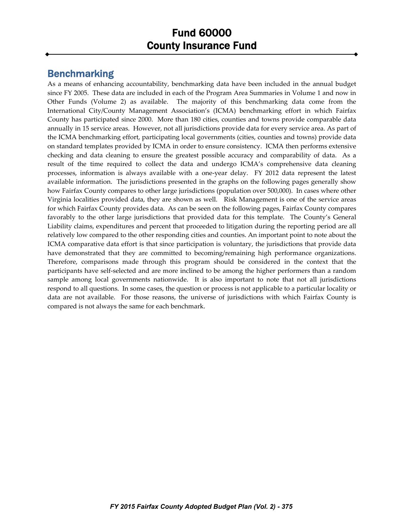## Benchmarking

As a means of enhancing accountability, benchmarking data have been included in the annual budget since FY 2005. These data are included in each of the Program Area Summaries in Volume 1 and now in Other Funds (Volume 2) as available. The majority of this benchmarking data come from the International City/County Management Association's (ICMA) benchmarking effort in which Fairfax County has participated since 2000. More than 180 cities, counties and towns provide comparable data annually in 15 service areas. However, not all jurisdictions provide data for every service area. As part of the ICMA benchmarking effort, participating local governments (cities, counties and towns) provide data on standard templates provided by ICMA in order to ensure consistency. ICMA then performs extensive checking and data cleaning to ensure the greatest possible accuracy and comparability of data. As a result of the time required to collect the data and undergo ICMA's comprehensive data cleaning processes, information is always available with a one‐year delay. FY 2012 data represent the latest available information. The jurisdictions presented in the graphs on the following pages generally show how Fairfax County compares to other large jurisdictions (population over 500,000). In cases where other Virginia localities provided data, they are shown as well. Risk Management is one of the service areas for which Fairfax County provides data. As can be seen on the following pages, Fairfax County compares favorably to the other large jurisdictions that provided data for this template. The County's General Liability claims, expenditures and percent that proceeded to litigation during the reporting period are all relatively low compared to the other responding cities and counties. An important point to note about the ICMA comparative data effort is that since participation is voluntary, the jurisdictions that provide data have demonstrated that they are committed to becoming/remaining high performance organizations. Therefore, comparisons made through this program should be considered in the context that the participants have self‐selected and are more inclined to be among the higher performers than a random sample among local governments nationwide. It is also important to note that not all jurisdictions respond to all questions. In some cases, the question or process is not applicable to a particular locality or data are not available. For those reasons, the universe of jurisdictions with which Fairfax County is compared is not always the same for each benchmark.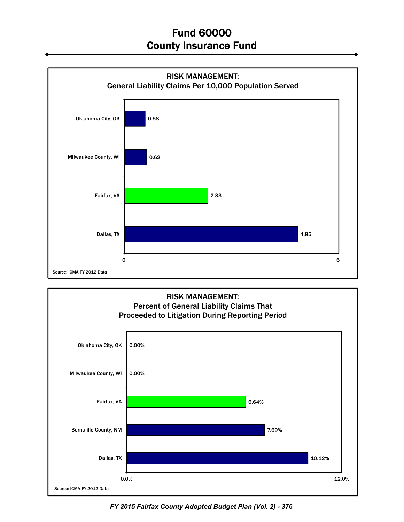



*FY 2015 Fairfax County Adopted Budget Plan (Vol. 2) - 376*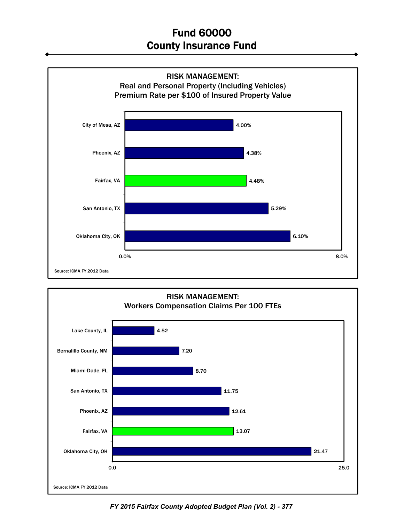



*FY 2015 Fairfax County Adopted Budget Plan (Vol. 2) - 377*